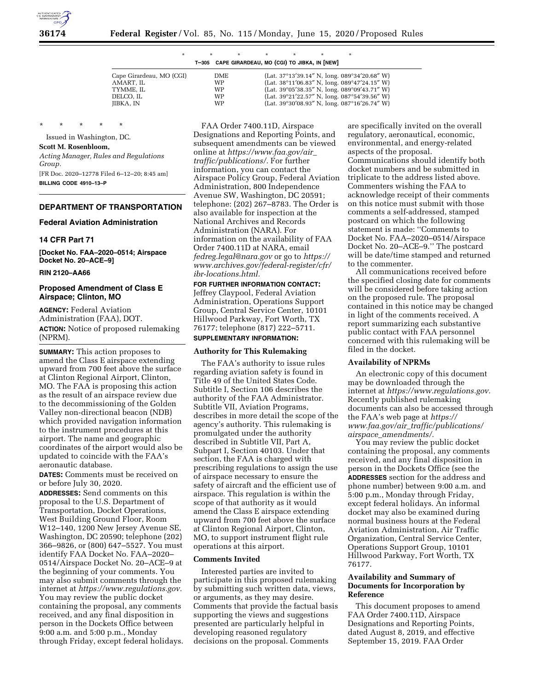

| ÷ |                                                   |  |  |
|---|---------------------------------------------------|--|--|
|   | T-305 CAPE GIRARDEAU, MO (CGI) TO JIBKA, IN [NEW] |  |  |

| Cape Girardeau, MO (CGI) | <b>DME</b> | (Lat. $37^{\circ}13'39.14''$ N, long. $089^{\circ}34'20.68''$ W) |
|--------------------------|------------|------------------------------------------------------------------|
| AMART. IL                | WP         | (Lat. $38^{\circ}11'06.83''$ N, long. $089^{\circ}47'24.15''$ W) |
| TYMME. IL                | WP         | (Lat. $39^{\circ}05'38.35''$ N, long. $089^{\circ}09'43.71''$ W) |
| DELCO. IL                | WP         | (Lat. $39^{\circ}21'22.57''$ N, long. $087^{\circ}54'39.56''$ W) |
| JIBKA, IN                | WP         | (Lat. $39^{\circ}30'08.93''$ N, long. $087^{\circ}16'26.74''$ W) |
|                          |            |                                                                  |

\* \* \* \* \*

Issued in Washington, DC. **Scott M. Rosenbloom,** 

*Acting Manager, Rules and Regulations Group.*  [FR Doc. 2020–12778 Filed 6–12–20; 8:45 am]

**BILLING CODE 4910–13–P** 

## **DEPARTMENT OF TRANSPORTATION**

#### **Federal Aviation Administration**

## **14 CFR Part 71**

**[Docket No. FAA–2020–0514; Airspace Docket No. 20–ACE–9]** 

## **RIN 2120–AA66**

## **Proposed Amendment of Class E Airspace; Clinton, MO**

**AGENCY:** Federal Aviation Administration (FAA), DOT. **ACTION:** Notice of proposed rulemaking (NPRM).

**SUMMARY:** This action proposes to amend the Class E airspace extending upward from 700 feet above the surface at Clinton Regional Airport, Clinton, MO. The FAA is proposing this action as the result of an airspace review due to the decommissioning of the Golden Valley non-directional beacon (NDB) which provided navigation information to the instrument procedures at this airport. The name and geographic coordinates of the airport would also be updated to coincide with the FAA's aeronautic database.

**DATES:** Comments must be received on or before July 30, 2020.

**ADDRESSES:** Send comments on this proposal to the U.S. Department of Transportation, Docket Operations, West Building Ground Floor, Room W12–140, 1200 New Jersey Avenue SE, Washington, DC 20590; telephone (202) 366–9826, or (800) 647–5527. You must identify FAA Docket No. FAA–2020– 0514/Airspace Docket No. 20–ACE–9 at the beginning of your comments. You may also submit comments through the internet at *[https://www.regulations.gov.](https://www.regulations.gov)*  You may review the public docket containing the proposal, any comments received, and any final disposition in person in the Dockets Office between 9:00 a.m. and 5:00 p.m., Monday through Friday, except federal holidays.

FAA Order 7400.11D, Airspace Designations and Reporting Points, and subsequent amendments can be viewed online at *[https://www.faa.gov/air](https://www.faa.gov/air_traffic/publications/)*\_ *[traffic/publications/.](https://www.faa.gov/air_traffic/publications/)* For further information, you can contact the Airspace Policy Group, Federal Aviation Administration, 800 Independence Avenue SW, Washington, DC 20591; telephone: (202) 267–8783. The Order is also available for inspection at the National Archives and Records Administration (NARA). For information on the availability of FAA Order 7400.11D at NARA, email *[fedreg.legal@nara.gov](mailto:fedreg.legal@nara.gov)* or go to *[https://](https://www.archives.gov/federal-register/cfr/ibr-locations.html) [www.archives.gov/federal-register/cfr/](https://www.archives.gov/federal-register/cfr/ibr-locations.html)  [ibr-locations.html.](https://www.archives.gov/federal-register/cfr/ibr-locations.html)* 

**FOR FURTHER INFORMATION CONTACT:**  Jeffrey Claypool, Federal Aviation Administration, Operations Support Group, Central Service Center, 10101 Hillwood Parkway, Fort Worth, TX 76177; telephone (817) 222–5711.

## **SUPPLEMENTARY INFORMATION:**

#### **Authority for This Rulemaking**

The FAA's authority to issue rules regarding aviation safety is found in Title 49 of the United States Code. Subtitle I, Section 106 describes the authority of the FAA Administrator. Subtitle VII, Aviation Programs, describes in more detail the scope of the agency's authority. This rulemaking is promulgated under the authority described in Subtitle VII, Part A, Subpart I, Section 40103. Under that section, the FAA is charged with prescribing regulations to assign the use of airspace necessary to ensure the safety of aircraft and the efficient use of airspace. This regulation is within the scope of that authority as it would amend the Class E airspace extending upward from 700 feet above the surface at Clinton Regional Airport, Clinton, MO, to support instrument flight rule operations at this airport.

### **Comments Invited**

Interested parties are invited to participate in this proposed rulemaking by submitting such written data, views, or arguments, as they may desire. Comments that provide the factual basis supporting the views and suggestions presented are particularly helpful in developing reasoned regulatory decisions on the proposal. Comments

are specifically invited on the overall regulatory, aeronautical, economic, environmental, and energy-related aspects of the proposal. Communications should identify both docket numbers and be submitted in triplicate to the address listed above. Commenters wishing the FAA to acknowledge receipt of their comments on this notice must submit with those comments a self-addressed, stamped postcard on which the following statement is made: ''Comments to Docket No. FAA–2020–0514/Airspace Docket No. 20–ACE–9.'' The postcard will be date/time stamped and returned to the commenter.

All communications received before the specified closing date for comments will be considered before taking action on the proposed rule. The proposal contained in this notice may be changed in light of the comments received. A report summarizing each substantive public contact with FAA personnel concerned with this rulemaking will be filed in the docket.

### **Availability of NPRMs**

An electronic copy of this document may be downloaded through the internet at *[https://www.regulations.gov.](https://www.regulations.gov)*  Recently published rulemaking documents can also be accessed through the FAA's web page at *[https://](https://www.faa.gov/air_traffic/publications/airspace_amendments/) www.faa.gov/air*\_*[traffic/publications/](https://www.faa.gov/air_traffic/publications/airspace_amendments/) airspace*\_*[amendments/.](https://www.faa.gov/air_traffic/publications/airspace_amendments/)* 

You may review the public docket containing the proposal, any comments received, and any final disposition in person in the Dockets Office (see the **ADDRESSES** section for the address and phone number) between 9:00 a.m. and 5:00 p.m., Monday through Friday, except federal holidays. An informal docket may also be examined during normal business hours at the Federal Aviation Administration, Air Traffic Organization, Central Service Center, Operations Support Group, 10101 Hillwood Parkway, Fort Worth, TX 76177.

## **Availability and Summary of Documents for Incorporation by Reference**

This document proposes to amend FAA Order 7400.11D, Airspace Designations and Reporting Points, dated August 8, 2019, and effective September 15, 2019. FAA Order